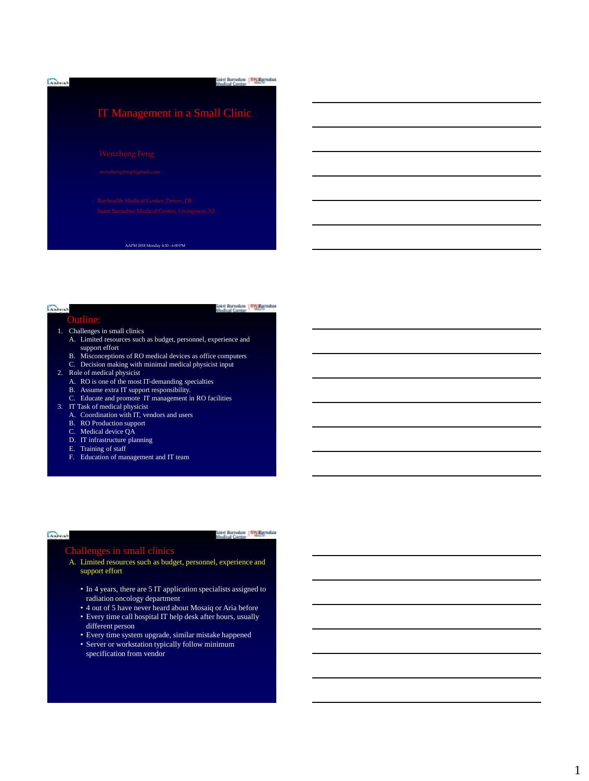

#### **Common** Outline:

Sakyt Barrokon | TV Spinshot

- 
- 1. Challenges in small clinics A. Limited resources such as budget, personnel, experience and support effort
	- B. Misconceptions of RO medical devices as office computers C. Decision making with minimal medical physicist input
	- Decision making with minimal medical physicist input
- 2. Role of medical physicist
	- A. RO is one of the most IT-demanding specialties
	- B. Assume extra IT support responsibility.
- C. Educate and promote IT management in RO facilities 3. IT Task of medical physicist
- 
- A. Coordination with IT, vendors and users B. RO Production support
- C. Medical device QA
- D. IT infrastructure planning
- E. Training of staff
- F. Education of management and IT team
- 

#### Sakyt Barrokow | IIIV Spradus

#### Challenges in small clinics

**Common** 

- A. Limited resources such as budget, personnel, experience and support effort
	- In 4 years, there are 5 IT application specialists assigned to radiation oncology department
	- 4 out of 5 have never heard about Mosaiq or Aria before • Every time call hospital IT help desk after hours, usually
	- different person
	- Every time system upgrade, similar mistake happened
	- Server or workstation typically follow minimum specification from vendor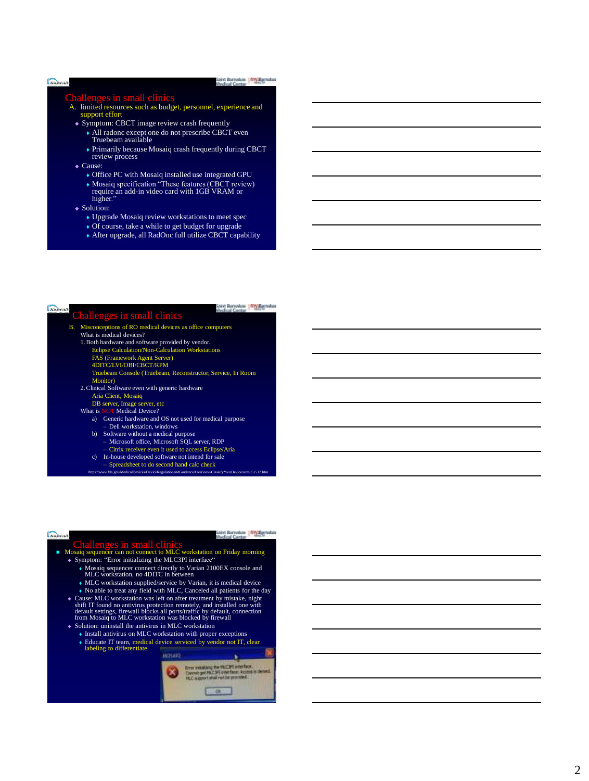### Saky: Barrokow | Wy Romakoz  $\sum_{i=1}^{n}$

Challenges in small clinics<br>A. limited resources such as budget, personnel, experience and support effort

- Symptom: CBCT image review crash frequently
	- All radonc except one do not prescribe CBCT even Truebeam available
	- Primarily because Mosaiq crash frequently during CBCT review process
- ◆ Cause:
	- Office PC with Mosaiq installed use integrated GPU
	- Mosaiq specification "These features (CBCT review) require an add -in video card with 1GB VRAM or higher."
- Solution:

**Continue** 

- Upgrade Mosaiq review workstations to meet spec
- Of course, take a while to get budget for upgrade
- After upgrade, all RadOnc full utilize CBCT capability

|    | Challenges in small clinics                                       |
|----|-------------------------------------------------------------------|
| В. | Misconceptions of RO medical devices as office computers          |
|    | What is medical devices?                                          |
|    | 1. Both hardware and software provided by vendor.                 |
|    | <b>Eclipse Calculation/Non-Calculation Workstations</b>           |
|    | FAS (Framework Agent Server)                                      |
|    | 4DITC/LVI/OBI/CBCT/RPM                                            |
|    | Truebeam Console (Truebeam, Reconstructor, Service, In Room       |
|    | Monitor)                                                          |
|    | 2. Clinical Software even with generic hardware                   |
|    | Aria Client, Mosaiq                                               |
|    | DB server, Image server, etc.                                     |
|    | What is NOT Medical Device?                                       |
|    | Generic hardware and OS not used for medical purpose<br>a)        |
|    | - Dell workstation, windows                                       |
|    | Software without a medical purpose<br>b)                          |
|    | - Microsoft office, Microsoft SQL server, RDP                     |
|    | - Citrix receiver even it used to access Eclipse/Aria             |
|    | In-house developed software not intend for sale<br>$\mathbf{c}$ ) |
|    | - Spreadsheet to do second hand calc check                        |

- 
- https://www.fda.gov/MedicalDevices/DeviceRegulationandGuidance/Overview/ClassifyYourDevice/ucm051512.htm

Sakyt Barrodom | ITY Spinahos

# **Common**

# **Challenges in small clinics**<br>Mosaiq sequencer can not connect to MLC workstation on Friday morning

- Symptom: "Error initializing the MLC3PI interface"
	-
	- Mosaiq sequencer connect directly to Varian 2100EX console and MLC workstation, no 4DITC in between
	-
	- MLC workstation supplied/service by Varian, it is medical device  $\bullet$  No able to treat any field with MLC, Canceled all patients for the day
- ◆ Cause: MLC workstation was left on after treatment by mistake, night shift IT found no antivirus protection remotely, and installed one with default settings, firewall blocks all ports/traffic by default, connection fro • Solution: uninstall the antivirus in MLC workstation
- - Install antivirus on MLC workstation with proper exceptions Educate IT team, medical device serviced by vendor not IT, clear labeling to differentiate
	-

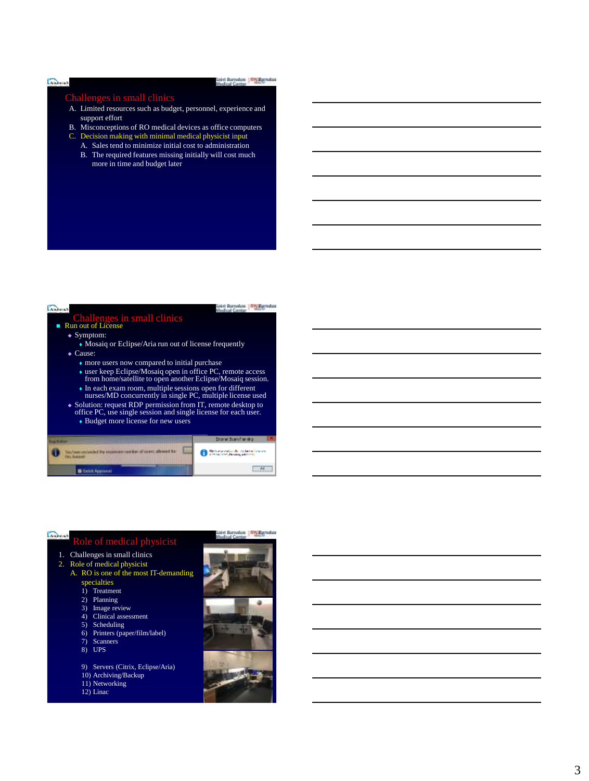#### Golomn

#### Saky: Barresbow | Wy Roymahas

## in small clinics

- A. Limited resources such as budget, personnel, experience and support effort
- B. Misconceptions of RO medical devices as office computers
- C. Decision making with minimal medical physicist input
	- A. Sales tend to minimize initial cost to administration
	- B. The required features missing initially will cost much more in time and budget later



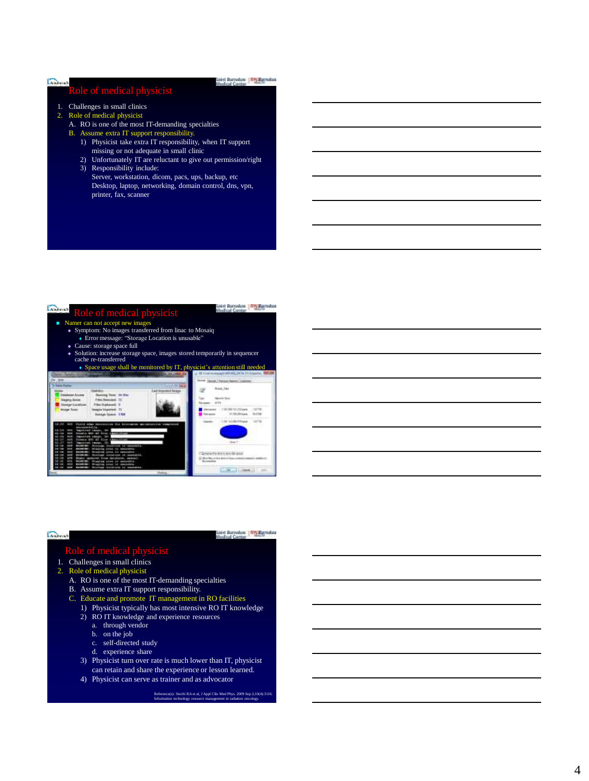# **Role** of medical physicist

## Saky: Barresbow | Wy Roymahas

- 1. Challenges in small clinics
- 2. Role of medical physicist
	- A. RO is one of the most IT-demanding specialties
	- B. Assume extra IT support responsibility.
		- 1) Physicist take extra IT responsibility, when IT support missing or not adequate in small clinic
		- 2) Unfortunately IT are reluctant to give out permission/right 3) Responsibility include:
		- Server, workstation, dicom, pacs, ups, backup, etc Desktop, laptop, networking, domain control, dns, vpn, printer, fax, scanner

| Role of medical physicist<br>Namer can not accept new images<br>• Symptom: No images transferred from linac to Mosaiq<br>• Error message: "Storage Location is unusable"<br>• Cause: storage space full<br>• Solution: increase storage space, images stored temporarily in sequencer<br>cache re-transferred<br>• Space usage shall be monitored by IT, physicist's attention still needed |                |
|---------------------------------------------------------------------------------------------------------------------------------------------------------------------------------------------------------------------------------------------------------------------------------------------------------------------------------------------------------------------------------------------|----------------|
| .<br><b>Asia Scene CA</b>                                                                                                                                                                                                                                                                                                                                                                   |                |
|                                                                                                                                                                                                                                                                                                                                                                                             | <b>KINDERS</b> |

| <b>Shout in France</b> | Soley: Barrenbow, 1979, Southabout |
|------------------------|------------------------------------|

## le of medical physicist

- 1. Challenges in small clinics
- 2. Role of medical physicist

**Common** 

- A. RO is one of the most IT-demanding specialties
- B. Assume extra IT support responsibility.
- C. Educate and promote IT management in RO facilities
- 1) Physicist typically has most intensive RO IT knowledge
- 2) RO IT knowledge and experience resources
	- a. through vendor
	- b. on the job
	- c. self-directed study
	- d. experience share
- 3) Physicist turn over rate is much lower than IT, physicist can retain and share the experience or lesson learned.
- 4) Physicist can serve as trainer and as advocator

Reference(s): Siochi RA et al, J Appl Clin Med Phys. 2009 Sep 2;10(4):3116. Information technology resource management in radiation oncology.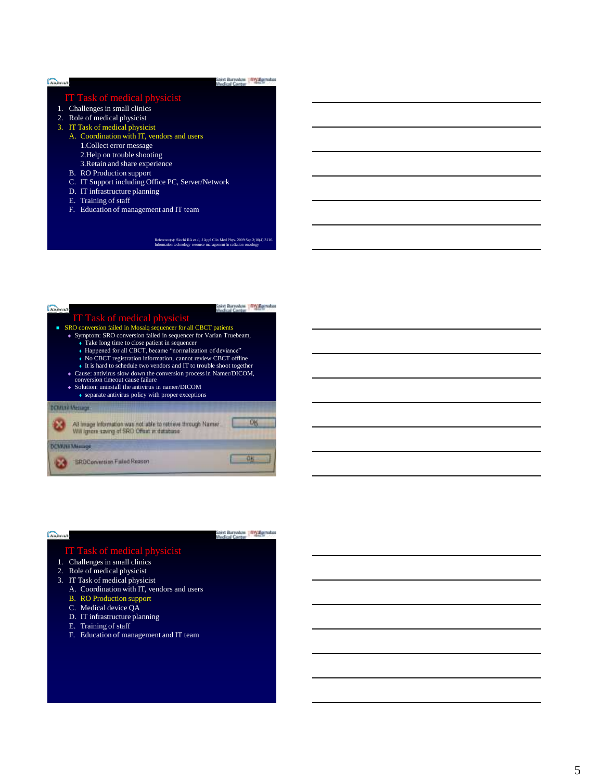| <b>IT Task of medical physicist</b>               |  |
|---------------------------------------------------|--|
| Challenges in small clinics<br>1.                 |  |
| Role of medical physicist<br>2.                   |  |
| 3. IT Task of medical physicist                   |  |
| A. Coordination with IT, vendors and users        |  |
| 1. Collect error message                          |  |
| 2. Help on trouble shooting                       |  |
| 3. Retain and share experience                    |  |
| <b>B.</b> RO Production support                   |  |
| C. IT Support including Office PC, Server/Network |  |
| D. IT infrastructure planning                     |  |
| E. Training of staff                              |  |
| Education of management and IT team<br>Е.         |  |

#### Reference(s): Siochi RA et al, J Appl Clin Med Phys. 2009 Sep 2;10(4):3116. Information technology resource management in radiation oncology.

| <b>IT Task of medical physicist</b>                                                                          |  |  |
|--------------------------------------------------------------------------------------------------------------|--|--|
| SRO conversion failed in Mosaiq sequencer for all CBCT patients                                              |  |  |
| • Symptom: SRO conversion failed in sequencer for Varian Truebeam,                                           |  |  |
| • Take long time to close patient in sequencer                                                               |  |  |
| • Happened for all CBCT, became "normalization of deviance"                                                  |  |  |
| • No CBCT registration information, cannot review CBCT offline                                               |  |  |
| • It is hard to schedule two vendors and IT to trouble shoot together                                        |  |  |
| • Cause: antivirus slow down the conversion process in Namer/DICOM,<br>conversion timeout cause failure      |  |  |
| $\bullet$ Solution: uninstall the antivirus in namer/DICOM                                                   |  |  |
| • separate antivirus policy with proper exceptions                                                           |  |  |
|                                                                                                              |  |  |
| <b>DOMINI Message</b>                                                                                        |  |  |
| All image information was not able to retrieve through Namer.<br>Will lange saving of SRD Offset in database |  |  |
| <b>With Memory</b>                                                                                           |  |  |
| <b>ROConversion Failed Reason</b>                                                                            |  |  |

# $C_{\text{e} \text{e} \text{b} \text{c} \text{c} \text{c}}$

Sakyt Barrudow | IIIV Ramahas

#### IT Task of medical physicist

- 1. Challenges in small clinics
- 2. Role of medical physicist
- 3. IT Task of medical physicist
	- A. Coordination with IT, vendors and users
	- B. RO Production support
	- C. Medical device QA
	- D. IT infrastructure planning
	- E. Training of staff
	- F. Education of management and IT team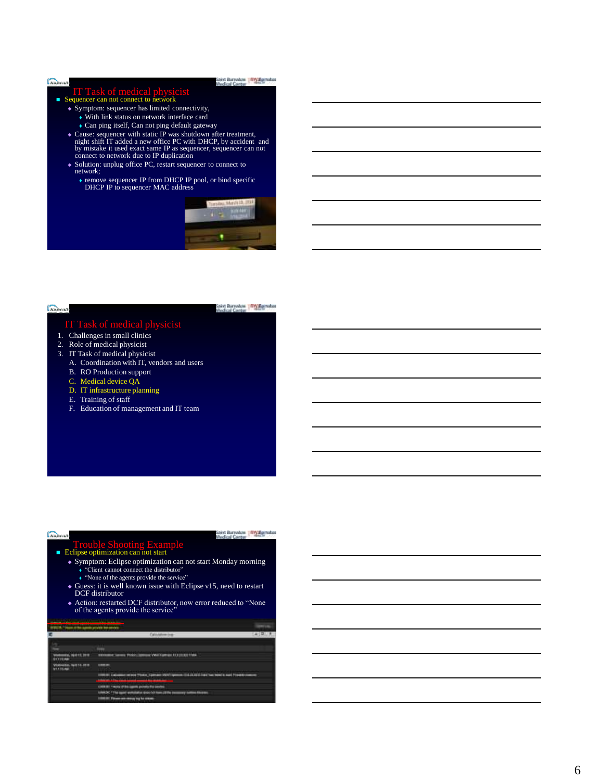#### Colomn

#### Saky: Barresbow | Wy Roymahas

- **IT Task of medical physicist**<br> **Sequencer can not connect to network** 
	- Symptom: sequencer has limited connectivity,
		- With link status on network interface card
		- Can ping itself, Can not ping default gateway
	- Cause: sequencer with static IP was shutdown after treatment, night shift IT added a new office PC with DHCP, by accident and by mistake it used exact same IP as sequencer, sequencer can not connect to network due to IP
	- Solution: unplug office PC, restart sequencer to connect to network;
		- remove sequencer IP from DHCP IP pool, or bind specific DHCP IP to sequencer MAC address



## $\sum_{i=1}^{n}$

cive Barrokon (TV Spinshot

- 
- 1. Challenges in small clinics
- 2. Role of medical physicist
- 3. IT Task of medical physicist
	- A. Coordination with IT, vendors and users
	- B. RO Production support
	- C. Medical device QA
	- D. IT infrastructure planning
	- E. Training of staff
	- F. Education of management and IT team

Sakyt Barrokon | IIIV Spinshot

**Stress**  $2227$ 

# ■ Trouble Shooting Example

- Symptom: Eclipse optimization can not start Monday morning
	- "Client cannot connect the distributor"
- "None of the agents provide the service"
- Guess: it is well known issue with Eclipse v15, need to restart DCF distributor
- Action: restarted DCF distributor, now error reduced to "None of the agents provide the service"

**PORT CONTRACTOR CONTRACTOR** 

**Courses** 

| mental, Adult 49, 2010<br>1719.88        | Editionist Service Photos (additional eMA) Company FOUR REPORT                      |
|------------------------------------------|-------------------------------------------------------------------------------------|
| Violinoidas, April 18, 2019<br>911155 PM | <b><i>SHIRTEE</i></b>                                                               |
|                                          | TIREST Calculation and These Company MATOphene (3 & 20 ADIT DECTAR New York France) |
|                                          | LIKE BY THING OF BELIEVE WINDS FOR SOVICE                                           |
|                                          | LINKOC * The spart enthulation sides not form 2019a is<br>disease                   |
|                                          | 1917. Fillmann with relations that his streams.                                     |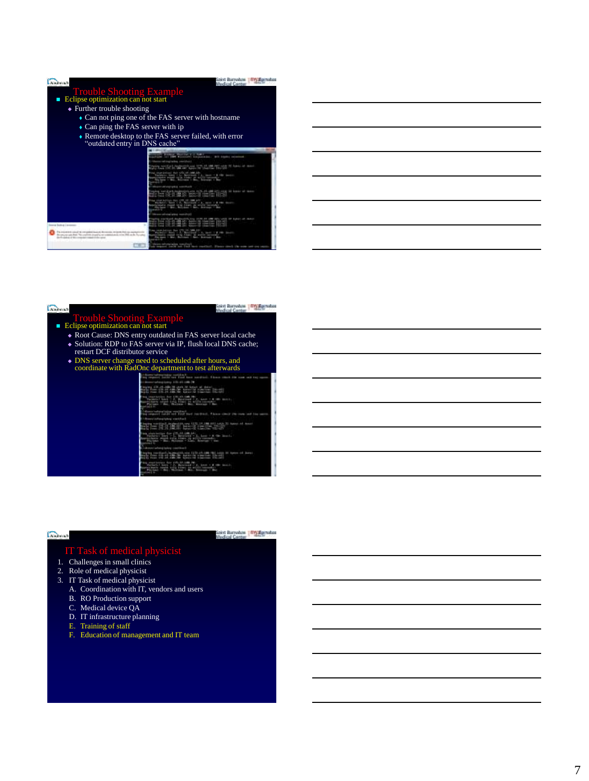| <b>Trouble Shooting Example</b>                                                                                                                                                                          |                                                                                                                                                                                                                                                                     |
|----------------------------------------------------------------------------------------------------------------------------------------------------------------------------------------------------------|---------------------------------------------------------------------------------------------------------------------------------------------------------------------------------------------------------------------------------------------------------------------|
| Eclipse optimization can not start                                                                                                                                                                       |                                                                                                                                                                                                                                                                     |
| $\triangle$ Further trouble shooting                                                                                                                                                                     |                                                                                                                                                                                                                                                                     |
|                                                                                                                                                                                                          | • Can not ping one of the FAS server with hostname                                                                                                                                                                                                                  |
| $\bullet$ Can ping the FAS server with ip                                                                                                                                                                |                                                                                                                                                                                                                                                                     |
| "outdated entry in DNS cache"                                                                                                                                                                            | • Remote desktop to the FAS server failed, with error                                                                                                                                                                                                               |
|                                                                                                                                                                                                          |                                                                                                                                                                                                                                                                     |
|                                                                                                                                                                                                          | <b>SALE PROPERTY AND INVESTIGATION</b><br>arranged for \$900 Millers for the passenger and seated and an                                                                                                                                                            |
|                                                                                                                                                                                                          | beauty toll-brig (redict), start & e.t.)<br>and the contract of the contract of<br>THE SHARAH ART HOUSE                                                                                                                                                             |
|                                                                                                                                                                                                          | al stanistical das sifuldevant la<br>Salary Press Line Street of L. Common Street of L. Common Street of L. Common Street of L. Common Street of L. Common Street of L. Common Street of L. Common Street of L. Common Street of L. Common Street of L. Common Stre |
|                                                                                                                                                                                                          | Bluery-Westmaded seconded                                                                                                                                                                                                                                           |
|                                                                                                                                                                                                          | andorf-lephodrises (476-26-pM-an) visit on boxe of most                                                                                                                                                                                                             |
|                                                                                                                                                                                                          | <b><i><u>STORIC CARDS</u></i></b><br>curaneous country single country and<br>$-0.015$                                                                                                                                                                               |
|                                                                                                                                                                                                          | <b>Executives (else)</b> and a manufact                                                                                                                                                                                                                             |
| Ference Dealers 1 Arms                                                                                                                                                                                   | <b>NEW YORK IN THE TIME OF THE CARD</b>                                                                                                                                                                                                                             |
| The contract state of the contracted book on the controls received that can receive<br>because and that "we exhibit it until the estimate to the<br>developed and all the companies computer in the case | For inset 1: Blue By<br><b>PER 2 10</b>                                                                                                                                                                                                                             |
|                                                                                                                                                                                                          | breve correspondent vesus ex-<br><b>Service School</b>                                                                                                                                                                                                              |

Sakyt Barrokon | TV Spinshot

# $\sum_{i=1}^{n}$ ■ Trouble Shooting Example

- Root Cause: DNS entry outdated in FAS server local cache
- Solution: RDP to FAS server via IP, flush local DNS cache; restart DCF distributor service
- DNS server change need to scheduled after hours, and coordinate with RadOnc department to test afterwards

#### m. (1974) 1975 (1974) 1975 (1975) 1975 (1975)

retrie retter. E Ministration

Tm. 9654

antistica de Maria de Santa de California de Santa de Santa de Santa de Santa de Santa de Santa de Santa de S<br>2001 - Partido de Santa de Santa de Santa de Santa de Santa de Santa de Santa de Santa de Santa de Santa de S

ma<sub>n</sub> **SEE** 

# $C_{\text{Kahowal}}$

Sakyt Barrokow | IIIV Spradus

#### IT Task of medical physicist

- 1. Challenges in small clinics
- 2. Role of medical physicist
- 3. IT Task of medical physicist
	- A. Coordination with IT, vendors and users
	- B. RO Production support
	- C. Medical device QA
	- D. IT infrastructure planning
	- E. Training of staff
	- F. Education of management and IT team